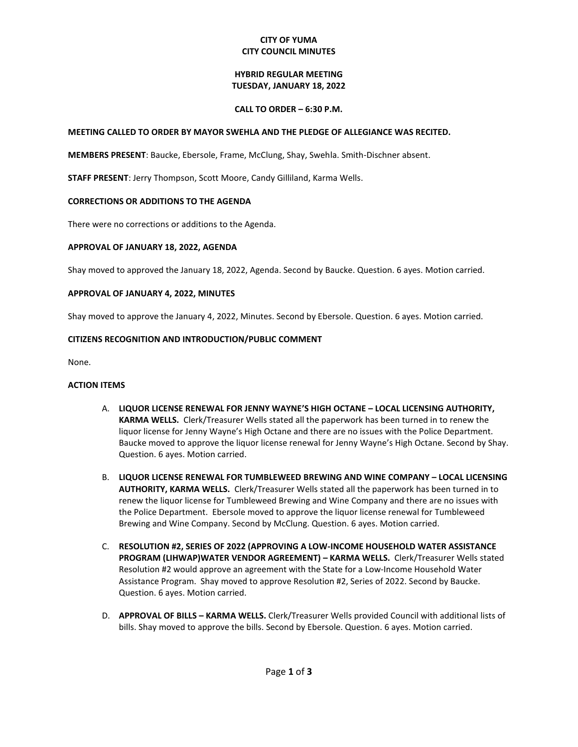## **CITY OF YUMA CITY COUNCIL MINUTES**

### **HYBRID REGULAR MEETING TUESDAY, JANUARY 18, 2022**

### **CALL TO ORDER – 6:30 P.M.**

## **MEETING CALLED TO ORDER BY MAYOR SWEHLA AND THE PLEDGE OF ALLEGIANCE WAS RECITED.**

**MEMBERS PRESENT**: Baucke, Ebersole, Frame, McClung, Shay, Swehla. Smith-Dischner absent.

**STAFF PRESENT**: Jerry Thompson, Scott Moore, Candy Gilliland, Karma Wells.

## **CORRECTIONS OR ADDITIONS TO THE AGENDA**

There were no corrections or additions to the Agenda.

## **APPROVAL OF JANUARY 18, 2022, AGENDA**

Shay moved to approved the January 18, 2022, Agenda. Second by Baucke. Question. 6 ayes. Motion carried.

## **APPROVAL OF JANUARY 4, 2022, MINUTES**

Shay moved to approve the January 4, 2022, Minutes. Second by Ebersole. Question. 6 ayes. Motion carried.

## **CITIZENS RECOGNITION AND INTRODUCTION/PUBLIC COMMENT**

None.

#### **ACTION ITEMS**

- A. **LIQUOR LICENSE RENEWAL FOR JENNY WAYNE'S HIGH OCTANE – LOCAL LICENSING AUTHORITY, KARMA WELLS.** Clerk/Treasurer Wells stated all the paperwork has been turned in to renew the liquor license for Jenny Wayne's High Octane and there are no issues with the Police Department. Baucke moved to approve the liquor license renewal for Jenny Wayne's High Octane. Second by Shay. Question. 6 ayes. Motion carried.
- B. **LIQUOR LICENSE RENEWAL FOR TUMBLEWEED BREWING AND WINE COMPANY – LOCAL LICENSING AUTHORITY, KARMA WELLS.** Clerk/Treasurer Wells stated all the paperwork has been turned in to renew the liquor license for Tumbleweed Brewing and Wine Company and there are no issues with the Police Department. Ebersole moved to approve the liquor license renewal for Tumbleweed Brewing and Wine Company. Second by McClung. Question. 6 ayes. Motion carried.
- C. **RESOLUTION #2, SERIES OF 2022 (APPROVING A LOW-INCOME HOUSEHOLD WATER ASSISTANCE PROGRAM (LIHWAP)WATER VENDOR AGREEMENT) – KARMA WELLS.** Clerk/Treasurer Wells stated Resolution #2 would approve an agreement with the State for a Low-Income Household Water Assistance Program. Shay moved to approve Resolution #2, Series of 2022. Second by Baucke. Question. 6 ayes. Motion carried.
- D. **APPROVAL OF BILLS – KARMA WELLS.** Clerk/Treasurer Wells provided Council with additional lists of bills. Shay moved to approve the bills. Second by Ebersole. Question. 6 ayes. Motion carried.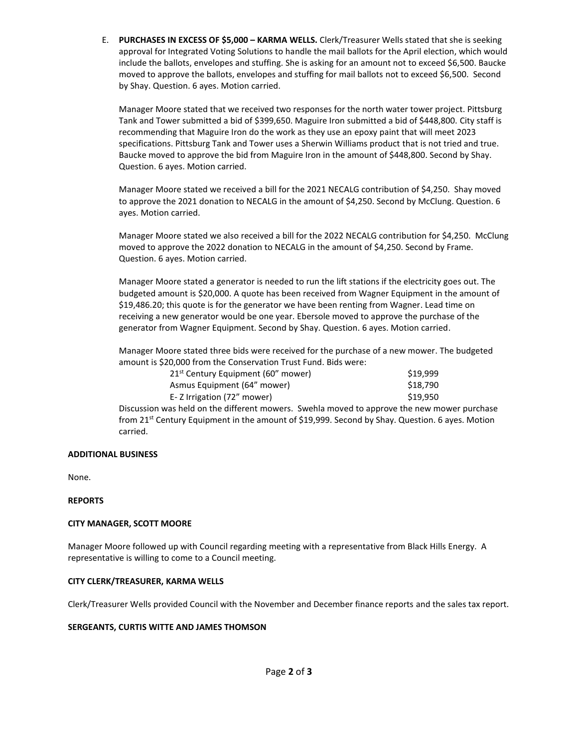E. **PURCHASES IN EXCESS OF \$5,000 – KARMA WELLS.** Clerk/Treasurer Wells stated that she is seeking approval for Integrated Voting Solutions to handle the mail ballots for the April election, which would include the ballots, envelopes and stuffing. She is asking for an amount not to exceed \$6,500. Baucke moved to approve the ballots, envelopes and stuffing for mail ballots not to exceed \$6,500. Second by Shay. Question. 6 ayes. Motion carried.

Manager Moore stated that we received two responses for the north water tower project. Pittsburg Tank and Tower submitted a bid of \$399,650. Maguire Iron submitted a bid of \$448,800. City staff is recommending that Maguire Iron do the work as they use an epoxy paint that will meet 2023 specifications. Pittsburg Tank and Tower uses a Sherwin Williams product that is not tried and true. Baucke moved to approve the bid from Maguire Iron in the amount of \$448,800. Second by Shay. Question. 6 ayes. Motion carried.

Manager Moore stated we received a bill for the 2021 NECALG contribution of \$4,250. Shay moved to approve the 2021 donation to NECALG in the amount of \$4,250. Second by McClung. Question. 6 ayes. Motion carried.

Manager Moore stated we also received a bill for the 2022 NECALG contribution for \$4,250. McClung moved to approve the 2022 donation to NECALG in the amount of \$4,250. Second by Frame. Question. 6 ayes. Motion carried.

Manager Moore stated a generator is needed to run the lift stations if the electricity goes out. The budgeted amount is \$20,000. A quote has been received from Wagner Equipment in the amount of \$19,486.20; this quote is for the generator we have been renting from Wagner. Lead time on receiving a new generator would be one year. Ebersole moved to approve the purchase of the generator from Wagner Equipment. Second by Shay. Question. 6 ayes. Motion carried.

Manager Moore stated three bids were received for the purchase of a new mower. The budgeted amount is \$20,000 from the Conservation Trust Fund. Bids were:

| 21 <sup>st</sup> Century Equipment (60" mower) | \$19.999 |
|------------------------------------------------|----------|
| Asmus Equipment (64" mower)                    | \$18.790 |
| E-Z Irrigation (72" mower)                     | \$19.950 |

Discussion was held on the different mowers. Swehla moved to approve the new mower purchase from 21<sup>st</sup> Century Equipment in the amount of \$19,999. Second by Shay. Question. 6 ayes. Motion carried.

#### **ADDITIONAL BUSINESS**

None.

#### **REPORTS**

#### **CITY MANAGER, SCOTT MOORE**

Manager Moore followed up with Council regarding meeting with a representative from Black Hills Energy. A representative is willing to come to a Council meeting.

#### **CITY CLERK/TREASURER, KARMA WELLS**

Clerk/Treasurer Wells provided Council with the November and December finance reports and the sales tax report.

#### **SERGEANTS, CURTIS WITTE AND JAMES THOMSON**